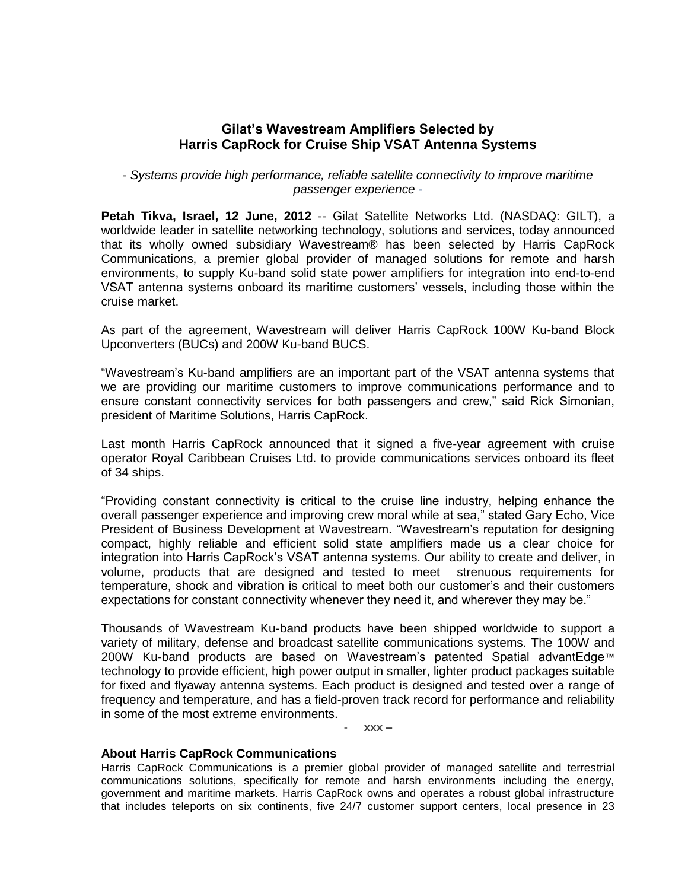## **Gilat's Wavestream Amplifiers Selected by Harris CapRock for Cruise Ship VSAT Antenna Systems**

*- Systems provide high performance, reliable satellite connectivity to improve maritime passenger experience* -

**Petah Tikva, Israel, 12 June, 2012** -- Gilat Satellite Networks Ltd. (NASDAQ: GILT), a worldwide leader in satellite networking technology, solutions and services, today announced that its wholly owned subsidiary Wavestream® has been selected by Harris CapRock Communications, a premier global provider of managed solutions for remote and harsh environments, to supply Ku-band solid state power amplifiers for integration into end-to-end VSAT antenna systems onboard its maritime customers' vessels, including those within the cruise market.

As part of the agreement, Wavestream will deliver Harris CapRock 100W Ku-band Block Upconverters (BUCs) and 200W Ku-band BUCS.

"Wavestream's Ku-band amplifiers are an important part of the VSAT antenna systems that we are providing our maritime customers to improve communications performance and to ensure constant connectivity services for both passengers and crew," said Rick Simonian, president of Maritime Solutions, Harris CapRock.

Last month Harris CapRock announced that it signed a five-year agreement with cruise operator Royal Caribbean Cruises Ltd. to provide communications services onboard its fleet of 34 ships.

"Providing constant connectivity is critical to the cruise line industry, helping enhance the overall passenger experience and improving crew moral while at sea," stated Gary Echo, Vice President of Business Development at Wavestream. "Wavestream's reputation for designing compact, highly reliable and efficient solid state amplifiers made us a clear choice for integration into Harris CapRock's VSAT antenna systems. Our ability to create and deliver, in volume, products that are designed and tested to meet strenuous requirements for temperature, shock and vibration is critical to meet both our customer's and their customers expectations for constant connectivity whenever they need it, and wherever they may be."

Thousands of Wavestream Ku-band products have been shipped worldwide to support a variety of military, defense and broadcast satellite communications systems. The 100W and 200W Ku-band products are based on Wavestream's patented Spatial advantEdge™ technology to provide efficient, high power output in smaller, lighter product packages suitable for fixed and flyaway antenna systems. Each product is designed and tested over a range of frequency and temperature, and has a field-proven track record for performance and reliability in some of the most extreme environments.

- **xxx –**

## **About Harris CapRock Communications**

Harris CapRock Communications is a premier global provider of managed satellite and terrestrial communications solutions, specifically for remote and harsh environments including the energy, government and maritime markets. Harris CapRock owns and operates a robust global infrastructure that includes teleports on six continents, five 24/7 customer support centers, local presence in 23